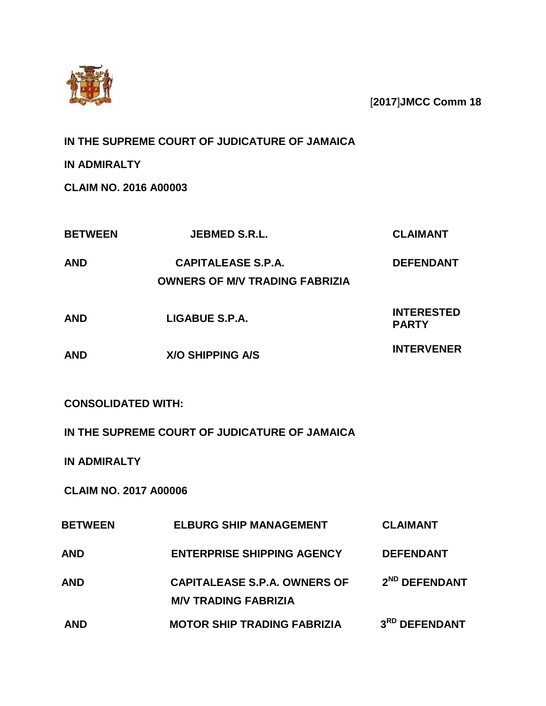

[**2017**]**JMCC Comm 18**

# **IN THE SUPREME COURT OF JUDICATURE OF JAMAICA**

**IN ADMIRALTY**

**CLAIM NO. 2016 A00003**

| <b>BETWEEN</b>               | <b>JEBMED S.R.L.</b>                                               | <b>CLAIMANT</b>                   |
|------------------------------|--------------------------------------------------------------------|-----------------------------------|
| <b>AND</b>                   | <b>CAPITALEASE S.P.A.</b><br><b>OWNERS OF M/V TRADING FABRIZIA</b> | <b>DEFENDANT</b>                  |
| <b>AND</b>                   | LIGABUE S.P.A.                                                     | <b>INTERESTED</b><br><b>PARTY</b> |
| <b>AND</b>                   | <b>X/O SHIPPING A/S</b>                                            | <b>INTERVENER</b>                 |
| <b>CONSOLIDATED WITH:</b>    |                                                                    |                                   |
|                              | IN THE SUPREME COURT OF JUDICATURE OF JAMAICA                      |                                   |
| <b>IN ADMIRALTY</b>          |                                                                    |                                   |
| <b>CLAIM NO. 2017 A00006</b> |                                                                    |                                   |
| <b>BETWEEN</b>               | <b>ELBURG SHIP MANAGEMENT</b>                                      | <b>CLAIMANT</b>                   |
| <b>AND</b>                   | <b>ENTERPRISE SHIPPING AGENCY</b>                                  | <b>DEFENDANT</b>                  |
| AND                          | <b>CAPITALEASE S.P.A. OWNERS OF</b><br><b>M/V TRADING FABRIZIA</b> | 2 <sup>ND</sup> DEFENDANT         |
| <b>AND</b>                   | <b>MOTOR SHIP TRADING FABRIZIA</b>                                 | 3RD DEFENDANT                     |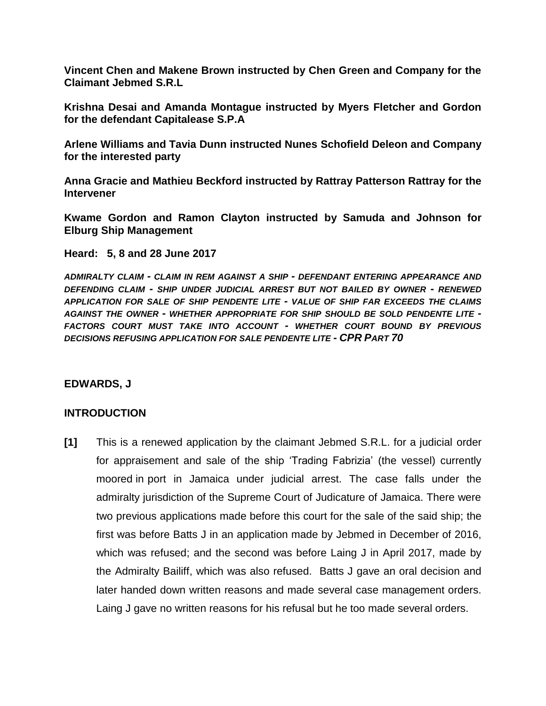**Vincent Chen and Makene Brown instructed by Chen Green and Company for the Claimant Jebmed S.R.L**

**Krishna Desai and Amanda Montague instructed by Myers Fletcher and Gordon for the defendant Capitalease S.P.A**

**Arlene Williams and Tavia Dunn instructed Nunes Schofield Deleon and Company for the interested party**

**Anna Gracie and Mathieu Beckford instructed by Rattray Patterson Rattray for the Intervener**

**Kwame Gordon and Ramon Clayton instructed by Samuda and Johnson for Elburg Ship Management**

**Heard: 5, 8 and 28 June 2017**

*ADMIRALTY CLAIM - CLAIM IN REM AGAINST A SHIP - DEFENDANT ENTERING APPEARANCE AND DEFENDING CLAIM - SHIP UNDER JUDICIAL ARREST BUT NOT BAILED BY OWNER - RENEWED APPLICATION FOR SALE OF SHIP PENDENTE LITE - VALUE OF SHIP FAR EXCEEDS THE CLAIMS AGAINST THE OWNER - WHETHER APPROPRIATE FOR SHIP SHOULD BE SOLD PENDENTE LITE - FACTORS COURT MUST TAKE INTO ACCOUNT - WHETHER COURT BOUND BY PREVIOUS DECISIONS REFUSING APPLICATION FOR SALE PENDENTE LITE - CPR PART 70*

#### **EDWARDS, J**

#### **INTRODUCTION**

**[1]** This is a renewed application by the claimant Jebmed S.R.L. for a judicial order for appraisement and sale of the ship 'Trading Fabrizia' (the vessel) currently moored in port in Jamaica under judicial arrest. The case falls under the admiralty jurisdiction of the Supreme Court of Judicature of Jamaica. There were two previous applications made before this court for the sale of the said ship; the first was before Batts J in an application made by Jebmed in December of 2016, which was refused; and the second was before Laing J in April 2017, made by the Admiralty Bailiff, which was also refused. Batts J gave an oral decision and later handed down written reasons and made several case management orders. Laing J gave no written reasons for his refusal but he too made several orders.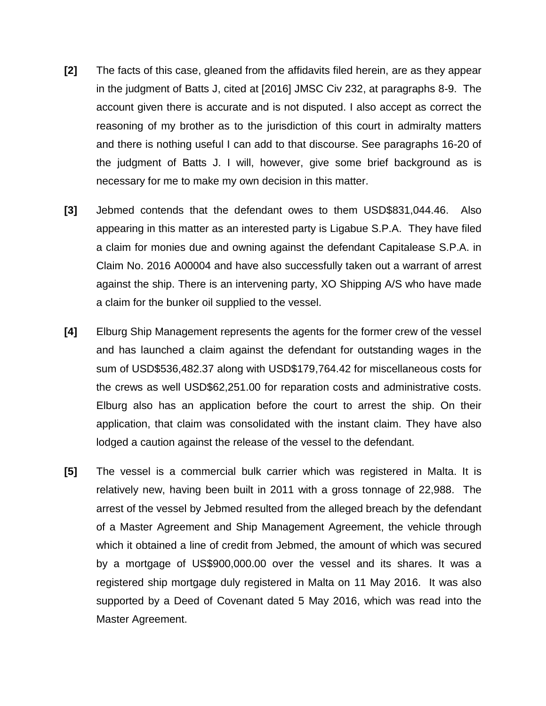- **[2]** The facts of this case, gleaned from the affidavits filed herein, are as they appear in the judgment of Batts J, cited at [2016] JMSC Civ 232, at paragraphs 8-9. The account given there is accurate and is not disputed. I also accept as correct the reasoning of my brother as to the jurisdiction of this court in admiralty matters and there is nothing useful I can add to that discourse. See paragraphs 16-20 of the judgment of Batts J. I will, however, give some brief background as is necessary for me to make my own decision in this matter.
- **[3]** Jebmed contends that the defendant owes to them USD\$831,044.46. Also appearing in this matter as an interested party is Ligabue S.P.A. They have filed a claim for monies due and owning against the defendant Capitalease S.P.A. in Claim No. 2016 A00004 and have also successfully taken out a warrant of arrest against the ship. There is an intervening party, XO Shipping A/S who have made a claim for the bunker oil supplied to the vessel.
- **[4]** Elburg Ship Management represents the agents for the former crew of the vessel and has launched a claim against the defendant for outstanding wages in the sum of USD\$536,482.37 along with USD\$179,764.42 for miscellaneous costs for the crews as well USD\$62,251.00 for reparation costs and administrative costs. Elburg also has an application before the court to arrest the ship. On their application, that claim was consolidated with the instant claim. They have also lodged a caution against the release of the vessel to the defendant.
- **[5]** The vessel is a commercial bulk carrier which was registered in Malta. It is relatively new, having been built in 2011 with a gross tonnage of 22,988. The arrest of the vessel by Jebmed resulted from the alleged breach by the defendant of a Master Agreement and Ship Management Agreement, the vehicle through which it obtained a line of credit from Jebmed, the amount of which was secured by a mortgage of US\$900,000.00 over the vessel and its shares. It was a registered ship mortgage duly registered in Malta on 11 May 2016. It was also supported by a Deed of Covenant dated 5 May 2016, which was read into the Master Agreement.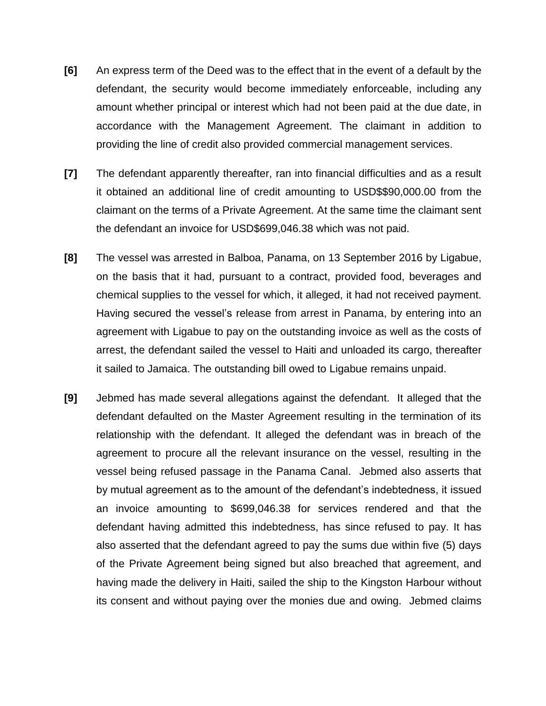- **[6]** An express term of the Deed was to the effect that in the event of a default by the defendant, the security would become immediately enforceable, including any amount whether principal or interest which had not been paid at the due date, in accordance with the Management Agreement. The claimant in addition to providing the line of credit also provided commercial management services.
- **[7]** The defendant apparently thereafter, ran into financial difficulties and as a result it obtained an additional line of credit amounting to USD\$\$90,000.00 from the claimant on the terms of a Private Agreement. At the same time the claimant sent the defendant an invoice for USD\$699,046.38 which was not paid.
- **[8]** The vessel was arrested in Balboa, Panama, on 13 September 2016 by Ligabue, on the basis that it had, pursuant to a contract, provided food, beverages and chemical supplies to the vessel for which, it alleged, it had not received payment. Having secured the vessel's release from arrest in Panama, by entering into an agreement with Ligabue to pay on the outstanding invoice as well as the costs of arrest, the defendant sailed the vessel to Haiti and unloaded its cargo, thereafter it sailed to Jamaica. The outstanding bill owed to Ligabue remains unpaid.
- **[9]** Jebmed has made several allegations against the defendant. It alleged that the defendant defaulted on the Master Agreement resulting in the termination of its relationship with the defendant. It alleged the defendant was in breach of the agreement to procure all the relevant insurance on the vessel, resulting in the vessel being refused passage in the Panama Canal. Jebmed also asserts that by mutual agreement as to the amount of the defendant's indebtedness, it issued an invoice amounting to \$699,046.38 for services rendered and that the defendant having admitted this indebtedness, has since refused to pay. It has also asserted that the defendant agreed to pay the sums due within five (5) days of the Private Agreement being signed but also breached that agreement, and having made the delivery in Haiti, sailed the ship to the Kingston Harbour without its consent and without paying over the monies due and owing. Jebmed claims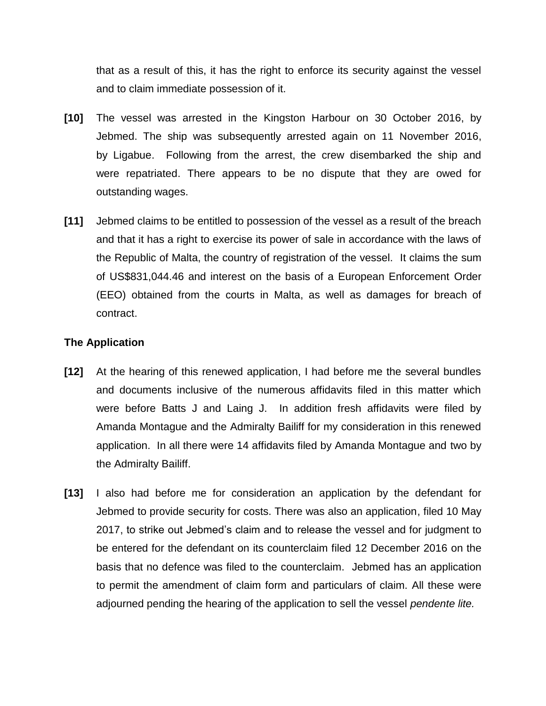that as a result of this, it has the right to enforce its security against the vessel and to claim immediate possession of it.

- **[10]** The vessel was arrested in the Kingston Harbour on 30 October 2016, by Jebmed. The ship was subsequently arrested again on 11 November 2016, by Ligabue. Following from the arrest, the crew disembarked the ship and were repatriated. There appears to be no dispute that they are owed for outstanding wages.
- **[11]** Jebmed claims to be entitled to possession of the vessel as a result of the breach and that it has a right to exercise its power of sale in accordance with the laws of the Republic of Malta, the country of registration of the vessel. It claims the sum of US\$831,044.46 and interest on the basis of a European Enforcement Order (EEO) obtained from the courts in Malta, as well as damages for breach of contract.

# **The Application**

- **[12]** At the hearing of this renewed application, I had before me the several bundles and documents inclusive of the numerous affidavits filed in this matter which were before Batts J and Laing J. In addition fresh affidavits were filed by Amanda Montague and the Admiralty Bailiff for my consideration in this renewed application. In all there were 14 affidavits filed by Amanda Montague and two by the Admiralty Bailiff.
- **[13]** I also had before me for consideration an application by the defendant for Jebmed to provide security for costs. There was also an application, filed 10 May 2017, to strike out Jebmed's claim and to release the vessel and for judgment to be entered for the defendant on its counterclaim filed 12 December 2016 on the basis that no defence was filed to the counterclaim. Jebmed has an application to permit the amendment of claim form and particulars of claim. All these were adjourned pending the hearing of the application to sell the vessel *pendente lite.*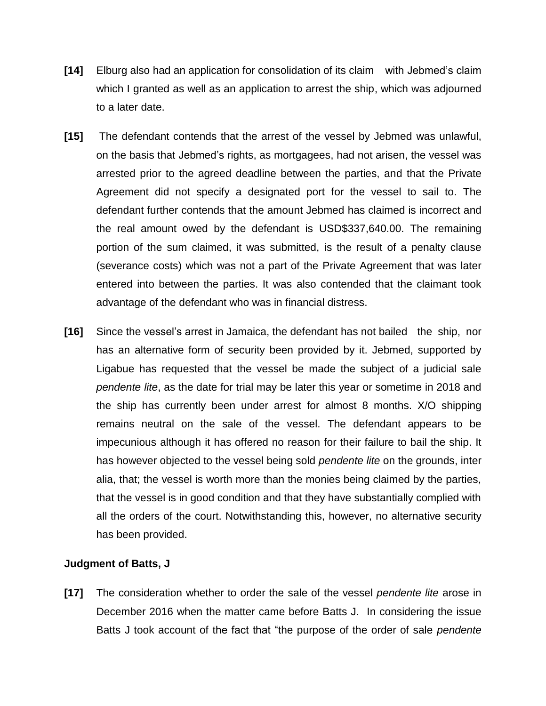- **[14]** Elburg also had an application for consolidation of its claim with Jebmed's claim which I granted as well as an application to arrest the ship, which was adjourned to a later date.
- **[15]** The defendant contends that the arrest of the vessel by Jebmed was unlawful, on the basis that Jebmed's rights, as mortgagees, had not arisen, the vessel was arrested prior to the agreed deadline between the parties, and that the Private Agreement did not specify a designated port for the vessel to sail to. The defendant further contends that the amount Jebmed has claimed is incorrect and the real amount owed by the defendant is USD\$337,640.00. The remaining portion of the sum claimed, it was submitted, is the result of a penalty clause (severance costs) which was not a part of the Private Agreement that was later entered into between the parties. It was also contended that the claimant took advantage of the defendant who was in financial distress.
- **[16]** Since the vessel's arrest in Jamaica, the defendant has not bailed the ship, nor has an alternative form of security been provided by it. Jebmed, supported by Ligabue has requested that the vessel be made the subject of a judicial sale *pendente lite*, as the date for trial may be later this year or sometime in 2018 and the ship has currently been under arrest for almost 8 months. X/O shipping remains neutral on the sale of the vessel. The defendant appears to be impecunious although it has offered no reason for their failure to bail the ship. It has however objected to the vessel being sold *pendente lite* on the grounds, inter alia, that; the vessel is worth more than the monies being claimed by the parties, that the vessel is in good condition and that they have substantially complied with all the orders of the court. Notwithstanding this, however, no alternative security has been provided.

# **Judgment of Batts, J**

**[17]** The consideration whether to order the sale of the vessel *pendente lite* arose in December 2016 when the matter came before Batts J. In considering the issue Batts J took account of the fact that "the purpose of the order of sale *pendente*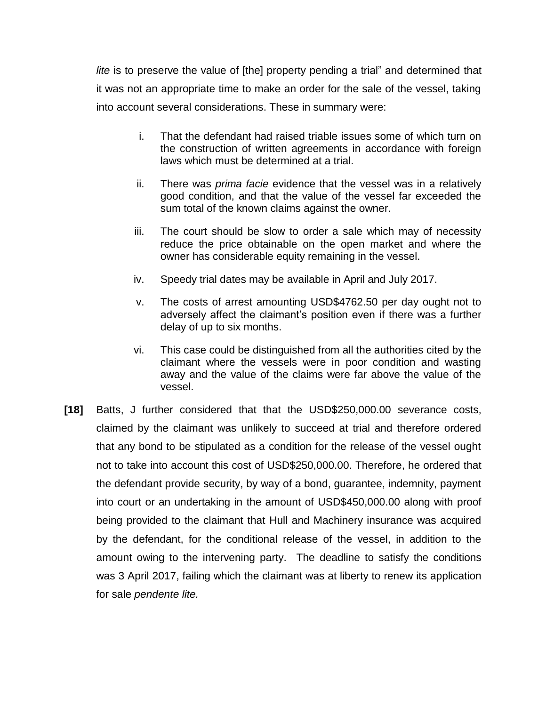*lite* is to preserve the value of [the] property pending a trial" and determined that it was not an appropriate time to make an order for the sale of the vessel, taking into account several considerations. These in summary were:

- i. That the defendant had raised triable issues some of which turn on the construction of written agreements in accordance with foreign laws which must be determined at a trial.
- ii. There was *prima facie* evidence that the vessel was in a relatively good condition, and that the value of the vessel far exceeded the sum total of the known claims against the owner.
- iii. The court should be slow to order a sale which may of necessity reduce the price obtainable on the open market and where the owner has considerable equity remaining in the vessel.
- iv. Speedy trial dates may be available in April and July 2017.
- v. The costs of arrest amounting USD\$4762.50 per day ought not to adversely affect the claimant's position even if there was a further delay of up to six months.
- vi. This case could be distinguished from all the authorities cited by the claimant where the vessels were in poor condition and wasting away and the value of the claims were far above the value of the vessel.
- **[18]** Batts, J further considered that that the USD\$250,000.00 severance costs, claimed by the claimant was unlikely to succeed at trial and therefore ordered that any bond to be stipulated as a condition for the release of the vessel ought not to take into account this cost of USD\$250,000.00. Therefore, he ordered that the defendant provide security, by way of a bond, guarantee, indemnity, payment into court or an undertaking in the amount of USD\$450,000.00 along with proof being provided to the claimant that Hull and Machinery insurance was acquired by the defendant, for the conditional release of the vessel, in addition to the amount owing to the intervening party. The deadline to satisfy the conditions was 3 April 2017, failing which the claimant was at liberty to renew its application for sale *pendente lite.*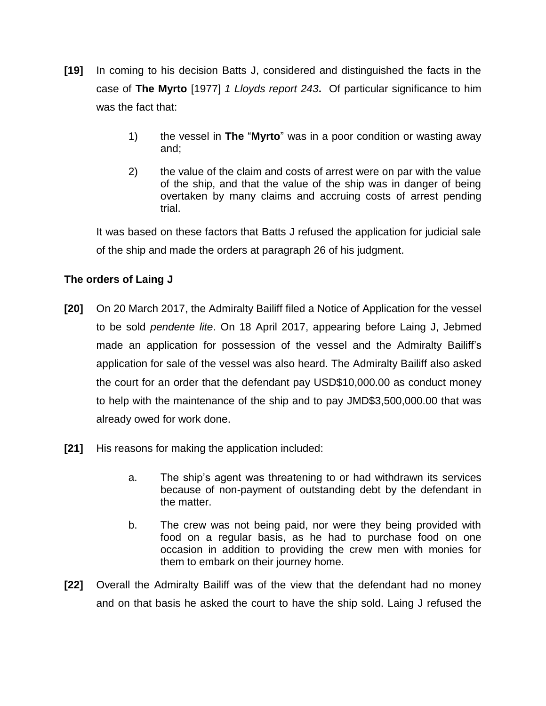- **[19]** In coming to his decision Batts J, considered and distinguished the facts in the case of **The Myrto** [1977] *1 Lloyds report 243***.** Of particular significance to him was the fact that:
	- 1) the vessel in **The** "**Myrto**" was in a poor condition or wasting away and;
	- 2) the value of the claim and costs of arrest were on par with the value of the ship, and that the value of the ship was in danger of being overtaken by many claims and accruing costs of arrest pending trial.

It was based on these factors that Batts J refused the application for judicial sale of the ship and made the orders at paragraph 26 of his judgment.

# **The orders of Laing J**

- **[20]** On 20 March 2017, the Admiralty Bailiff filed a Notice of Application for the vessel to be sold *pendente lite*. On 18 April 2017, appearing before Laing J, Jebmed made an application for possession of the vessel and the Admiralty Bailiff's application for sale of the vessel was also heard. The Admiralty Bailiff also asked the court for an order that the defendant pay USD\$10,000.00 as conduct money to help with the maintenance of the ship and to pay JMD\$3,500,000.00 that was already owed for work done.
- **[21]** His reasons for making the application included:
	- a. The ship's agent was threatening to or had withdrawn its services because of non-payment of outstanding debt by the defendant in the matter.
	- b. The crew was not being paid, nor were they being provided with food on a regular basis, as he had to purchase food on one occasion in addition to providing the crew men with monies for them to embark on their journey home.
- **[22]** Overall the Admiralty Bailiff was of the view that the defendant had no money and on that basis he asked the court to have the ship sold. Laing J refused the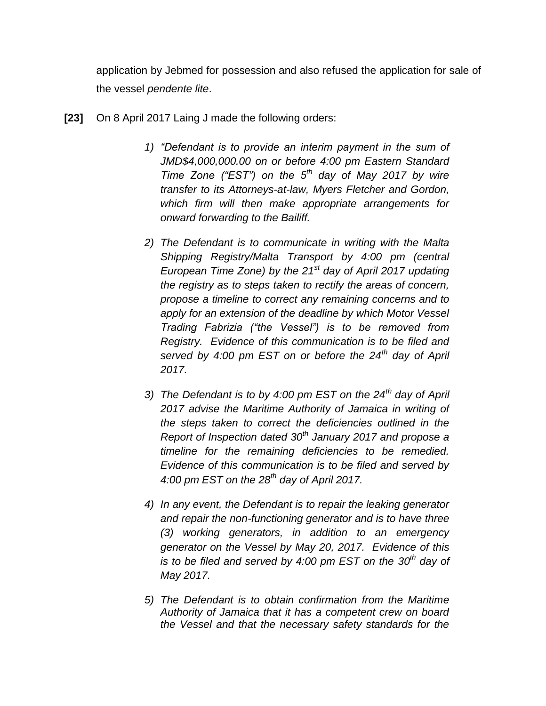application by Jebmed for possession and also refused the application for sale of the vessel *pendente lite*.

- **[23]** On 8 April 2017 Laing J made the following orders:
	- *1) "Defendant is to provide an interim payment in the sum of JMD\$4,000,000.00 on or before 4:00 pm Eastern Standard Time Zone ("EST") on the 5th day of May 2017 by wire transfer to its Attorneys-at-law, Myers Fletcher and Gordon, which firm will then make appropriate arrangements for onward forwarding to the Bailiff.*
	- *2) The Defendant is to communicate in writing with the Malta Shipping Registry/Malta Transport by 4:00 pm (central European Time Zone) by the 21st day of April 2017 updating the registry as to steps taken to rectify the areas of concern, propose a timeline to correct any remaining concerns and to apply for an extension of the deadline by which Motor Vessel Trading Fabrizia ("the Vessel") is to be removed from Registry. Evidence of this communication is to be filed and served by 4:00 pm EST on or before the 24th day of April 2017.*
	- *3) The Defendant is to by 4:00 pm EST on the 24th day of April 2017 advise the Maritime Authority of Jamaica in writing of the steps taken to correct the deficiencies outlined in the Report of Inspection dated 30th January 2017 and propose a timeline for the remaining deficiencies to be remedied. Evidence of this communication is to be filed and served by 4:00 pm EST on the 28th day of April 2017.*
	- *4) In any event, the Defendant is to repair the leaking generator and repair the non-functioning generator and is to have three (3) working generators, in addition to an emergency generator on the Vessel by May 20, 2017. Evidence of this is to be filed and served by 4:00 pm EST on the 30th day of May 2017.*
	- *5) The Defendant is to obtain confirmation from the Maritime Authority of Jamaica that it has a competent crew on board the Vessel and that the necessary safety standards for the*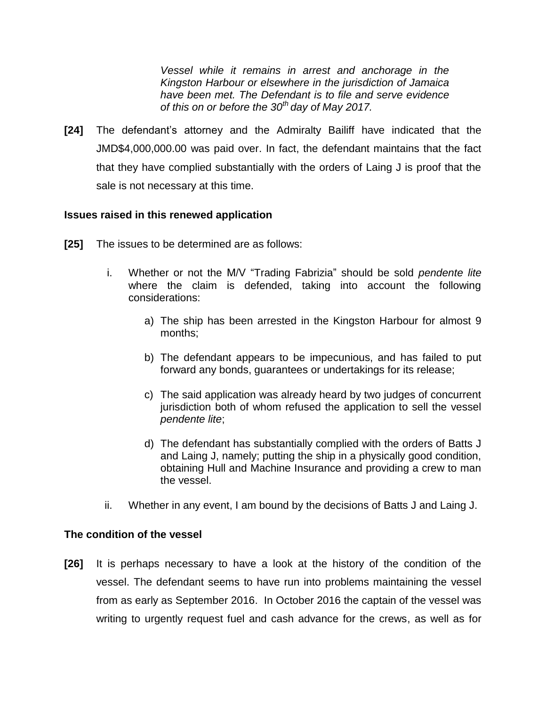*Vessel while it remains in arrest and anchorage in the Kingston Harbour or elsewhere in the jurisdiction of Jamaica have been met. The Defendant is to file and serve evidence of this on or before the 30th day of May 2017.* 

**[24]** The defendant's attorney and the Admiralty Bailiff have indicated that the JMD\$4,000,000.00 was paid over. In fact, the defendant maintains that the fact that they have complied substantially with the orders of Laing J is proof that the sale is not necessary at this time.

## **Issues raised in this renewed application**

- **[25]** The issues to be determined are as follows:
	- i. Whether or not the M/V "Trading Fabrizia" should be sold *pendente lite* where the claim is defended, taking into account the following considerations:
		- a) The ship has been arrested in the Kingston Harbour for almost 9 months;
		- b) The defendant appears to be impecunious, and has failed to put forward any bonds, guarantees or undertakings for its release;
		- c) The said application was already heard by two judges of concurrent jurisdiction both of whom refused the application to sell the vessel *pendente lite*;
		- d) The defendant has substantially complied with the orders of Batts J and Laing J, namely; putting the ship in a physically good condition, obtaining Hull and Machine Insurance and providing a crew to man the vessel.
	- ii. Whether in any event, I am bound by the decisions of Batts J and Laing J.

#### **The condition of the vessel**

**[26]** It is perhaps necessary to have a look at the history of the condition of the vessel. The defendant seems to have run into problems maintaining the vessel from as early as September 2016. In October 2016 the captain of the vessel was writing to urgently request fuel and cash advance for the crews, as well as for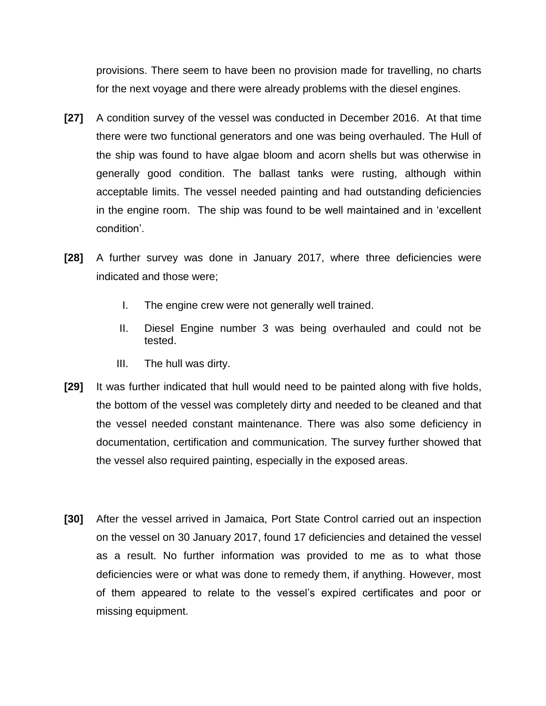provisions. There seem to have been no provision made for travelling, no charts for the next voyage and there were already problems with the diesel engines.

- **[27]** A condition survey of the vessel was conducted in December 2016. At that time there were two functional generators and one was being overhauled. The Hull of the ship was found to have algae bloom and acorn shells but was otherwise in generally good condition. The ballast tanks were rusting, although within acceptable limits. The vessel needed painting and had outstanding deficiencies in the engine room. The ship was found to be well maintained and in 'excellent condition'.
- **[28]** A further survey was done in January 2017, where three deficiencies were indicated and those were;
	- I. The engine crew were not generally well trained.
	- II. Diesel Engine number 3 was being overhauled and could not be tested.
	- III. The hull was dirty.
- **[29]** It was further indicated that hull would need to be painted along with five holds, the bottom of the vessel was completely dirty and needed to be cleaned and that the vessel needed constant maintenance. There was also some deficiency in documentation, certification and communication. The survey further showed that the vessel also required painting, especially in the exposed areas.
- **[30]** After the vessel arrived in Jamaica, Port State Control carried out an inspection on the vessel on 30 January 2017, found 17 deficiencies and detained the vessel as a result. No further information was provided to me as to what those deficiencies were or what was done to remedy them, if anything. However, most of them appeared to relate to the vessel's expired certificates and poor or missing equipment.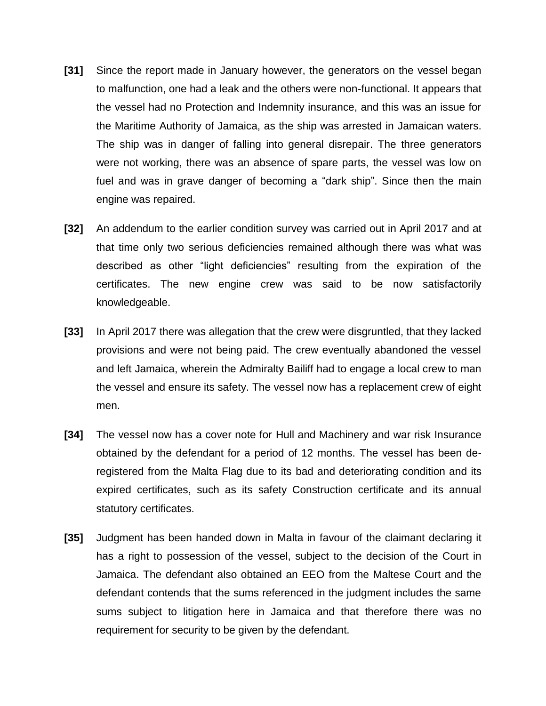- **[31]** Since the report made in January however, the generators on the vessel began to malfunction, one had a leak and the others were non-functional. It appears that the vessel had no Protection and Indemnity insurance, and this was an issue for the Maritime Authority of Jamaica, as the ship was arrested in Jamaican waters. The ship was in danger of falling into general disrepair. The three generators were not working, there was an absence of spare parts, the vessel was low on fuel and was in grave danger of becoming a "dark ship". Since then the main engine was repaired.
- **[32]** An addendum to the earlier condition survey was carried out in April 2017 and at that time only two serious deficiencies remained although there was what was described as other "light deficiencies" resulting from the expiration of the certificates. The new engine crew was said to be now satisfactorily knowledgeable.
- **[33]** In April 2017 there was allegation that the crew were disgruntled, that they lacked provisions and were not being paid. The crew eventually abandoned the vessel and left Jamaica, wherein the Admiralty Bailiff had to engage a local crew to man the vessel and ensure its safety. The vessel now has a replacement crew of eight men.
- **[34]** The vessel now has a cover note for Hull and Machinery and war risk Insurance obtained by the defendant for a period of 12 months. The vessel has been deregistered from the Malta Flag due to its bad and deteriorating condition and its expired certificates, such as its safety Construction certificate and its annual statutory certificates.
- **[35]** Judgment has been handed down in Malta in favour of the claimant declaring it has a right to possession of the vessel, subject to the decision of the Court in Jamaica. The defendant also obtained an EEO from the Maltese Court and the defendant contends that the sums referenced in the judgment includes the same sums subject to litigation here in Jamaica and that therefore there was no requirement for security to be given by the defendant.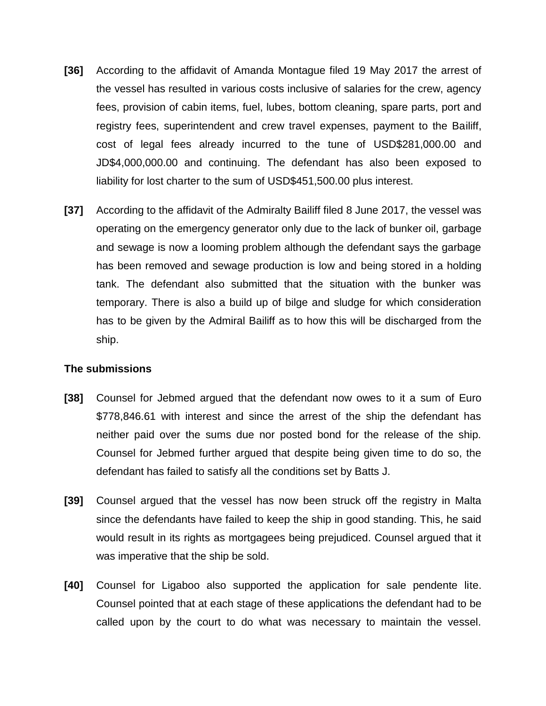- **[36]** According to the affidavit of Amanda Montague filed 19 May 2017 the arrest of the vessel has resulted in various costs inclusive of salaries for the crew, agency fees, provision of cabin items, fuel, lubes, bottom cleaning, spare parts, port and registry fees, superintendent and crew travel expenses, payment to the Bailiff, cost of legal fees already incurred to the tune of USD\$281,000.00 and JD\$4,000,000.00 and continuing. The defendant has also been exposed to liability for lost charter to the sum of USD\$451,500.00 plus interest.
- **[37]** According to the affidavit of the Admiralty Bailiff filed 8 June 2017, the vessel was operating on the emergency generator only due to the lack of bunker oil, garbage and sewage is now a looming problem although the defendant says the garbage has been removed and sewage production is low and being stored in a holding tank. The defendant also submitted that the situation with the bunker was temporary. There is also a build up of bilge and sludge for which consideration has to be given by the Admiral Bailiff as to how this will be discharged from the ship.

#### **The submissions**

- **[38]** Counsel for Jebmed argued that the defendant now owes to it a sum of Euro \$778,846.61 with interest and since the arrest of the ship the defendant has neither paid over the sums due nor posted bond for the release of the ship. Counsel for Jebmed further argued that despite being given time to do so, the defendant has failed to satisfy all the conditions set by Batts J.
- **[39]** Counsel argued that the vessel has now been struck off the registry in Malta since the defendants have failed to keep the ship in good standing. This, he said would result in its rights as mortgagees being prejudiced. Counsel argued that it was imperative that the ship be sold.
- **[40]** Counsel for Ligaboo also supported the application for sale pendente lite. Counsel pointed that at each stage of these applications the defendant had to be called upon by the court to do what was necessary to maintain the vessel.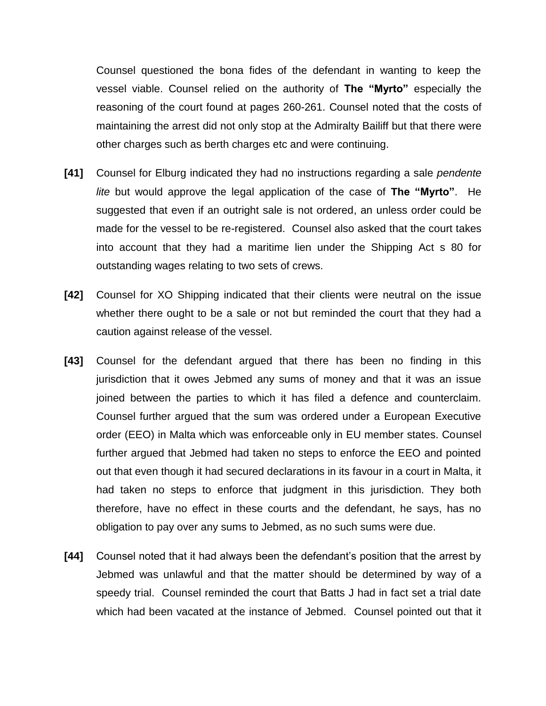Counsel questioned the bona fides of the defendant in wanting to keep the vessel viable. Counsel relied on the authority of **The "Myrto"** especially the reasoning of the court found at pages 260-261. Counsel noted that the costs of maintaining the arrest did not only stop at the Admiralty Bailiff but that there were other charges such as berth charges etc and were continuing.

- **[41]** Counsel for Elburg indicated they had no instructions regarding a sale *pendente lite* but would approve the legal application of the case of **The "Myrto"**. He suggested that even if an outright sale is not ordered, an unless order could be made for the vessel to be re-registered. Counsel also asked that the court takes into account that they had a maritime lien under the Shipping Act s 80 for outstanding wages relating to two sets of crews.
- **[42]** Counsel for XO Shipping indicated that their clients were neutral on the issue whether there ought to be a sale or not but reminded the court that they had a caution against release of the vessel.
- **[43]** Counsel for the defendant argued that there has been no finding in this jurisdiction that it owes Jebmed any sums of money and that it was an issue joined between the parties to which it has filed a defence and counterclaim. Counsel further argued that the sum was ordered under a European Executive order (EEO) in Malta which was enforceable only in EU member states. Counsel further argued that Jebmed had taken no steps to enforce the EEO and pointed out that even though it had secured declarations in its favour in a court in Malta, it had taken no steps to enforce that judgment in this jurisdiction. They both therefore, have no effect in these courts and the defendant, he says, has no obligation to pay over any sums to Jebmed, as no such sums were due.
- **[44]** Counsel noted that it had always been the defendant's position that the arrest by Jebmed was unlawful and that the matter should be determined by way of a speedy trial. Counsel reminded the court that Batts J had in fact set a trial date which had been vacated at the instance of Jebmed. Counsel pointed out that it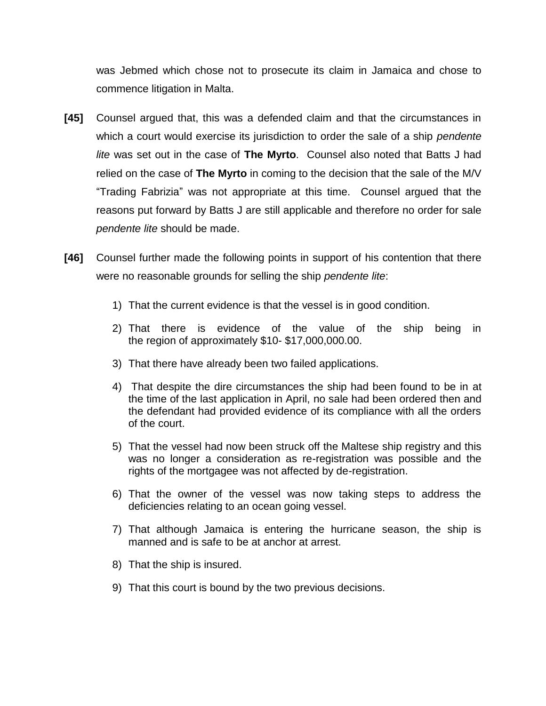was Jebmed which chose not to prosecute its claim in Jamaica and chose to commence litigation in Malta.

- **[45]** Counsel argued that, this was a defended claim and that the circumstances in which a court would exercise its jurisdiction to order the sale of a ship *pendente lite* was set out in the case of **The Myrto**. Counsel also noted that Batts J had relied on the case of **The Myrto** in coming to the decision that the sale of the M/V "Trading Fabrizia" was not appropriate at this time. Counsel argued that the reasons put forward by Batts J are still applicable and therefore no order for sale *pendente lite* should be made.
- **[46]** Counsel further made the following points in support of his contention that there were no reasonable grounds for selling the ship *pendente lite*:
	- 1) That the current evidence is that the vessel is in good condition.
	- 2) That there is evidence of the value of the ship being in the region of approximately \$10- \$17,000,000.00.
	- 3) That there have already been two failed applications.
	- 4) That despite the dire circumstances the ship had been found to be in at the time of the last application in April, no sale had been ordered then and the defendant had provided evidence of its compliance with all the orders of the court.
	- 5) That the vessel had now been struck off the Maltese ship registry and this was no longer a consideration as re-registration was possible and the rights of the mortgagee was not affected by de-registration.
	- 6) That the owner of the vessel was now taking steps to address the deficiencies relating to an ocean going vessel.
	- 7) That although Jamaica is entering the hurricane season, the ship is manned and is safe to be at anchor at arrest.
	- 8) That the ship is insured.
	- 9) That this court is bound by the two previous decisions.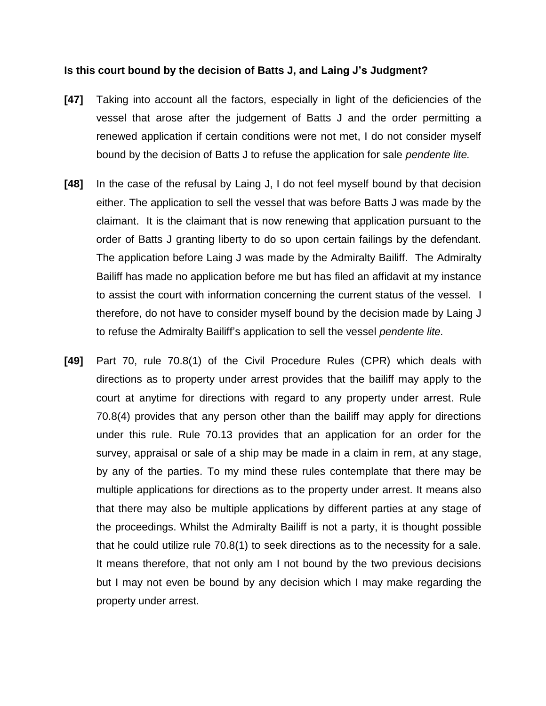#### **Is this court bound by the decision of Batts J, and Laing J's Judgment?**

- **[47]** Taking into account all the factors, especially in light of the deficiencies of the vessel that arose after the judgement of Batts J and the order permitting a renewed application if certain conditions were not met, I do not consider myself bound by the decision of Batts J to refuse the application for sale *pendente lite.*
- **[48]** In the case of the refusal by Laing J, I do not feel myself bound by that decision either. The application to sell the vessel that was before Batts J was made by the claimant. It is the claimant that is now renewing that application pursuant to the order of Batts J granting liberty to do so upon certain failings by the defendant. The application before Laing J was made by the Admiralty Bailiff. The Admiralty Bailiff has made no application before me but has filed an affidavit at my instance to assist the court with information concerning the current status of the vessel. I therefore, do not have to consider myself bound by the decision made by Laing J to refuse the Admiralty Bailiff's application to sell the vessel *pendente lite.*
- **[49]** Part 70, rule 70.8(1) of the Civil Procedure Rules (CPR) which deals with directions as to property under arrest provides that the bailiff may apply to the court at anytime for directions with regard to any property under arrest. Rule 70.8(4) provides that any person other than the bailiff may apply for directions under this rule. Rule 70.13 provides that an application for an order for the survey, appraisal or sale of a ship may be made in a claim in rem, at any stage, by any of the parties. To my mind these rules contemplate that there may be multiple applications for directions as to the property under arrest. It means also that there may also be multiple applications by different parties at any stage of the proceedings. Whilst the Admiralty Bailiff is not a party, it is thought possible that he could utilize rule 70.8(1) to seek directions as to the necessity for a sale. It means therefore, that not only am I not bound by the two previous decisions but I may not even be bound by any decision which I may make regarding the property under arrest.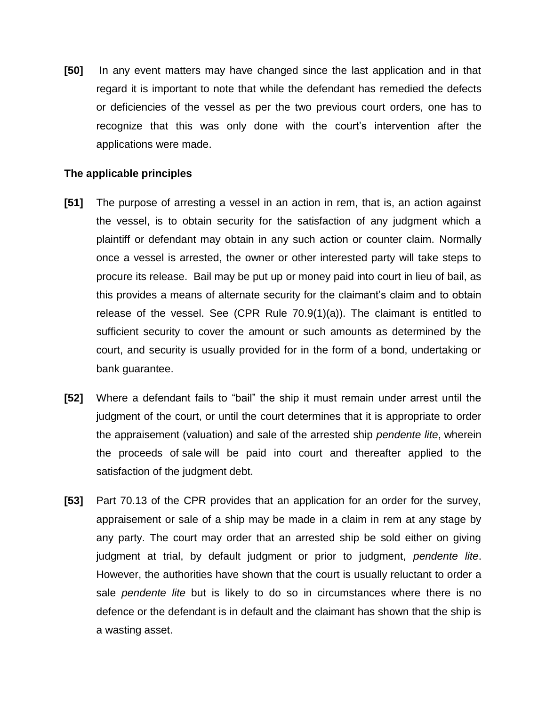**[50]** In any event matters may have changed since the last application and in that regard it is important to note that while the defendant has remedied the defects or deficiencies of the vessel as per the two previous court orders, one has to recognize that this was only done with the court's intervention after the applications were made.

## **The applicable principles**

- **[51]** The purpose of arresting a vessel in an action in rem, that is, an action against the vessel, is to obtain security for the satisfaction of any judgment which a plaintiff or defendant may obtain in any such action or counter claim. Normally once a vessel is arrested, the owner or other interested party will take steps to procure its release. Bail may be put up or money paid into court in lieu of bail, as this provides a means of alternate security for the claimant's claim and to obtain release of the vessel. See (CPR Rule 70.9(1)(a)). The claimant is entitled to sufficient security to cover the amount or such amounts as determined by the court, and security is usually provided for in the form of a bond, undertaking or bank guarantee.
- **[52]** Where a defendant fails to "bail" the ship it must remain under arrest until the judgment of the court, or until the court determines that it is appropriate to order the appraisement (valuation) and sale of the arrested ship *pendente lite*, wherein the proceeds of sale will be paid into court and thereafter applied to the satisfaction of the judgment debt.
- **[53]** Part 70.13 of the CPR provides that an application for an order for the survey, appraisement or sale of a ship may be made in a claim in rem at any stage by any party. The court may order that an arrested ship be sold either on giving judgment at trial, by default judgment or prior to judgment, *pendente lite*. However, the authorities have shown that the court is usually reluctant to order a sale *pendente lite* but is likely to do so in circumstances where there is no defence or the defendant is in default and the claimant has shown that the ship is a wasting asset.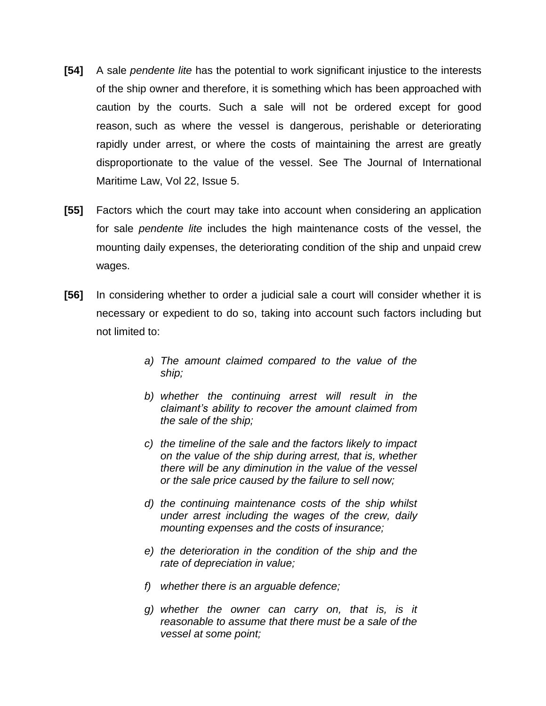- **[54]** A sale *pendente lite* has the potential to work significant injustice to the interests of the ship owner and therefore, it is something which has been approached with caution by the courts. Such a sale will not be ordered except for good reason, such as where the vessel is dangerous, perishable or deteriorating rapidly under arrest, or where the costs of maintaining the arrest are greatly disproportionate to the value of the vessel. See The Journal of International Maritime Law, Vol 22, Issue 5.
- **[55]** Factors which the court may take into account when considering an application for sale *pendente lite* includes the high maintenance costs of the vessel, the mounting daily expenses, the deteriorating condition of the ship and unpaid crew wages.
- **[56]** In considering whether to order a judicial sale a court will consider whether it is necessary or expedient to do so, taking into account such factors including but not limited to:
	- *a) The amount claimed compared to the value of the ship;*
	- *b) whether the continuing arrest will result in the claimant's ability to recover the amount claimed from the sale of the ship;*
	- *c) the timeline of the sale and the factors likely to impact on the value of the ship during arrest, that is, whether there will be any diminution in the value of the vessel or the sale price caused by the failure to sell now;*
	- *d) the continuing maintenance costs of the ship whilst under arrest including the wages of the crew, daily mounting expenses and the costs of insurance;*
	- *e) the deterioration in the condition of the ship and the rate of depreciation in value;*
	- *f) whether there is an arguable defence;*
	- *g) whether the owner can carry on, that is, is it reasonable to assume that there must be a sale of the vessel at some point;*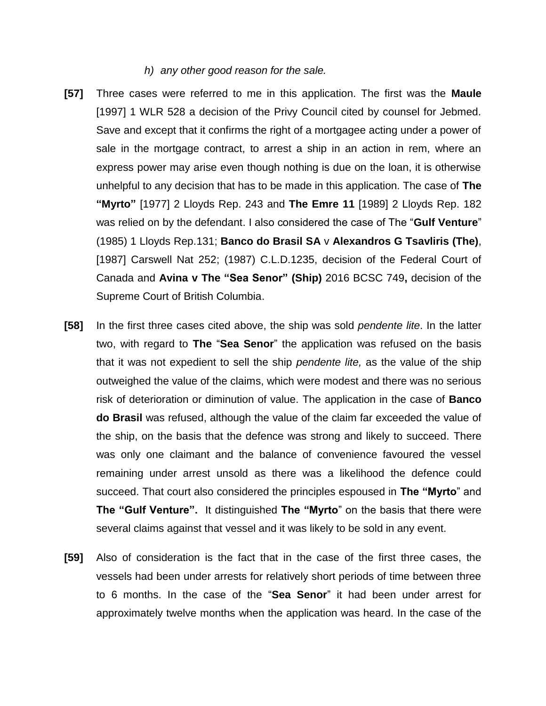#### *h) any other good reason for the sale.*

- **[57]** Three cases were referred to me in this application. The first was the **Maule**  [1997] 1 WLR 528 a decision of the Privy Council cited by counsel for Jebmed. Save and except that it confirms the right of a mortgagee acting under a power of sale in the mortgage contract, to arrest a ship in an action in rem, where an express power may arise even though nothing is due on the loan, it is otherwise unhelpful to any decision that has to be made in this application. The case of **The "Myrto"** [1977] 2 Lloyds Rep. 243 and **The Emre 11** [1989] 2 Lloyds Rep. 182 was relied on by the defendant. I also considered the case of The "**Gulf Venture**" (1985) 1 Lloyds Rep.131; **Banco do Brasil SA** v **Alexandros G Tsavliris (The)**, [1987] Carswell Nat 252; (1987) C.L.D.1235, decision of the Federal Court of Canada and **Avina v The "Sea Senor" (Ship)** 2016 BCSC 749**,** decision of the Supreme Court of British Columbia.
- **[58]** In the first three cases cited above, the ship was sold *pendente lite*. In the latter two, with regard to **The** "**Sea Senor**" the application was refused on the basis that it was not expedient to sell the ship *pendente lite,* as the value of the ship outweighed the value of the claims, which were modest and there was no serious risk of deterioration or diminution of value. The application in the case of **Banco do Brasil** was refused, although the value of the claim far exceeded the value of the ship, on the basis that the defence was strong and likely to succeed. There was only one claimant and the balance of convenience favoured the vessel remaining under arrest unsold as there was a likelihood the defence could succeed. That court also considered the principles espoused in **The "Myrto**" and **The "Gulf Venture".** It distinguished **The "Myrto**" on the basis that there were several claims against that vessel and it was likely to be sold in any event.
- **[59]** Also of consideration is the fact that in the case of the first three cases, the vessels had been under arrests for relatively short periods of time between three to 6 months. In the case of the "**Sea Senor**" it had been under arrest for approximately twelve months when the application was heard. In the case of the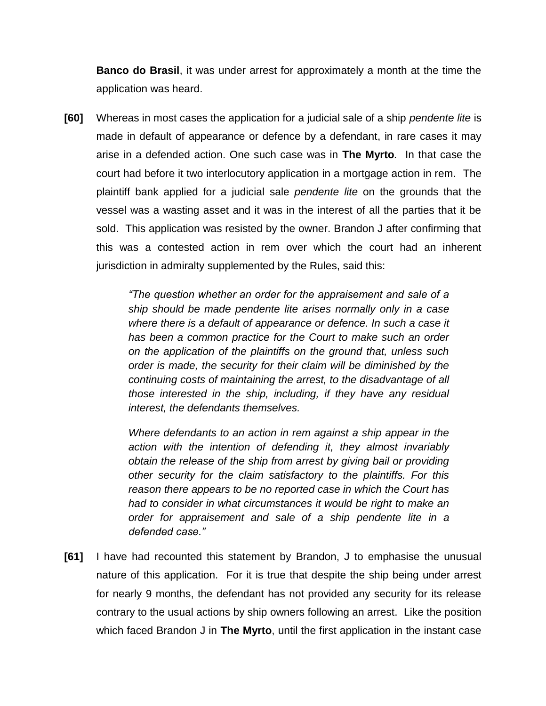**Banco do Brasil**, it was under arrest for approximately a month at the time the application was heard.

**[60]** Whereas in most cases the application for a judicial sale of a ship *pendente lite* is made in default of appearance or defence by a defendant, in rare cases it may arise in a defended action. One such case was in **The Myrto***.* In that case the court had before it two interlocutory application in a mortgage action in rem. The plaintiff bank applied for a judicial sale *pendente lite* on the grounds that the vessel was a wasting asset and it was in the interest of all the parties that it be sold. This application was resisted by the owner. Brandon J after confirming that this was a contested action in rem over which the court had an inherent jurisdiction in admiralty supplemented by the Rules, said this:

> *"The question whether an order for the appraisement and sale of a ship should be made pendente lite arises normally only in a case where there is a default of appearance or defence. In such a case it has been a common practice for the Court to make such an order on the application of the plaintiffs on the ground that, unless such order is made, the security for their claim will be diminished by the continuing costs of maintaining the arrest, to the disadvantage of all those interested in the ship, including, if they have any residual interest, the defendants themselves.*

> *Where defendants to an action in rem against a ship appear in the action with the intention of defending it, they almost invariably obtain the release of the ship from arrest by giving bail or providing other security for the claim satisfactory to the plaintiffs. For this reason there appears to be no reported case in which the Court has had to consider in what circumstances it would be right to make an order for appraisement and sale of a ship pendente lite in a defended case."*

**[61]** I have had recounted this statement by Brandon, J to emphasise the unusual nature of this application. For it is true that despite the ship being under arrest for nearly 9 months, the defendant has not provided any security for its release contrary to the usual actions by ship owners following an arrest. Like the position which faced Brandon J in **The Myrto**, until the first application in the instant case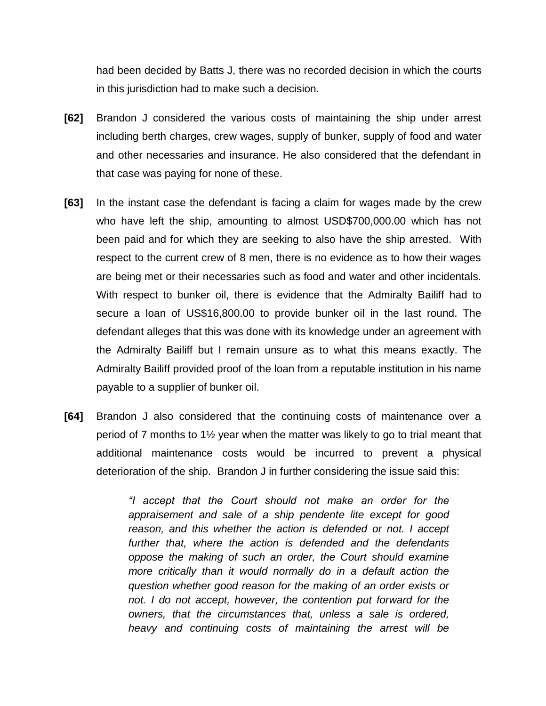had been decided by Batts J, there was no recorded decision in which the courts in this jurisdiction had to make such a decision.

- **[62]** Brandon J considered the various costs of maintaining the ship under arrest including berth charges, crew wages, supply of bunker, supply of food and water and other necessaries and insurance. He also considered that the defendant in that case was paying for none of these.
- **[63]** In the instant case the defendant is facing a claim for wages made by the crew who have left the ship, amounting to almost USD\$700,000.00 which has not been paid and for which they are seeking to also have the ship arrested. With respect to the current crew of 8 men, there is no evidence as to how their wages are being met or their necessaries such as food and water and other incidentals. With respect to bunker oil, there is evidence that the Admiralty Bailiff had to secure a loan of US\$16,800.00 to provide bunker oil in the last round. The defendant alleges that this was done with its knowledge under an agreement with the Admiralty Bailiff but I remain unsure as to what this means exactly. The Admiralty Bailiff provided proof of the loan from a reputable institution in his name payable to a supplier of bunker oil.
- **[64]** Brandon J also considered that the continuing costs of maintenance over a period of 7 months to 1½ year when the matter was likely to go to trial meant that additional maintenance costs would be incurred to prevent a physical deterioration of the ship. Brandon J in further considering the issue said this:

*"I accept that the Court should not make an order for the appraisement and sale of a ship pendente lite except for good reason, and this whether the action is defended or not. I accept further that, where the action is defended and the defendants oppose the making of such an order, the Court should examine more critically than it would normally do in a default action the question whether good reason for the making of an order exists or not. I do not accept, however, the contention put forward for the owners, that the circumstances that, unless a sale is ordered, heavy and continuing costs of maintaining the arrest will be*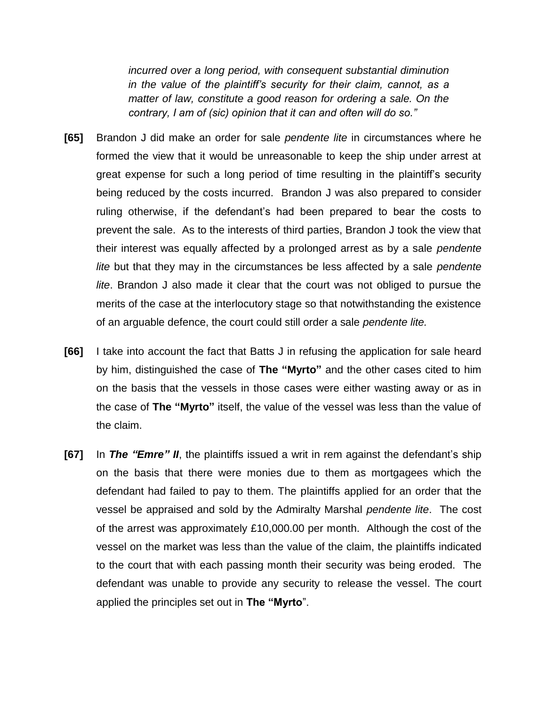*incurred over a long period, with consequent substantial diminution in the value of the plaintiff's security for their claim, cannot, as a matter of law, constitute a good reason for ordering a sale. On the contrary, I am of (sic) opinion that it can and often will do so."* 

- **[65]** Brandon J did make an order for sale *pendente lite* in circumstances where he formed the view that it would be unreasonable to keep the ship under arrest at great expense for such a long period of time resulting in the plaintiff's security being reduced by the costs incurred. Brandon J was also prepared to consider ruling otherwise, if the defendant's had been prepared to bear the costs to prevent the sale. As to the interests of third parties, Brandon J took the view that their interest was equally affected by a prolonged arrest as by a sale *pendente lite* but that they may in the circumstances be less affected by a sale *pendente lite*. Brandon J also made it clear that the court was not obliged to pursue the merits of the case at the interlocutory stage so that notwithstanding the existence of an arguable defence, the court could still order a sale *pendente lite.*
- **[66]** I take into account the fact that Batts J in refusing the application for sale heard by him, distinguished the case of **The "Myrto"** and the other cases cited to him on the basis that the vessels in those cases were either wasting away or as in the case of **The "Myrto"** itself, the value of the vessel was less than the value of the claim.
- **[67]** In *The "Emre" II*, the plaintiffs issued a writ in rem against the defendant's ship on the basis that there were monies due to them as mortgagees which the defendant had failed to pay to them. The plaintiffs applied for an order that the vessel be appraised and sold by the Admiralty Marshal *pendente lite*. The cost of the arrest was approximately £10,000.00 per month. Although the cost of the vessel on the market was less than the value of the claim, the plaintiffs indicated to the court that with each passing month their security was being eroded. The defendant was unable to provide any security to release the vessel. The court applied the principles set out in **The "Myrto**".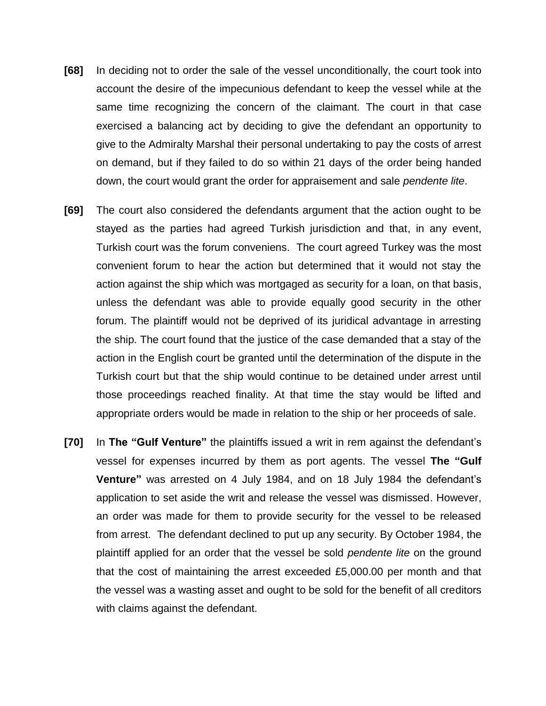- **[68]** In deciding not to order the sale of the vessel unconditionally, the court took into account the desire of the impecunious defendant to keep the vessel while at the same time recognizing the concern of the claimant. The court in that case exercised a balancing act by deciding to give the defendant an opportunity to give to the Admiralty Marshal their personal undertaking to pay the costs of arrest on demand, but if they failed to do so within 21 days of the order being handed down, the court would grant the order for appraisement and sale *pendente lite*.
- **[69]** The court also considered the defendants argument that the action ought to be stayed as the parties had agreed Turkish jurisdiction and that, in any event, Turkish court was the forum conveniens. The court agreed Turkey was the most convenient forum to hear the action but determined that it would not stay the action against the ship which was mortgaged as security for a loan, on that basis, unless the defendant was able to provide equally good security in the other forum. The plaintiff would not be deprived of its juridical advantage in arresting the ship. The court found that the justice of the case demanded that a stay of the action in the English court be granted until the determination of the dispute in the Turkish court but that the ship would continue to be detained under arrest until those proceedings reached finality. At that time the stay would be lifted and appropriate orders would be made in relation to the ship or her proceeds of sale.
- **[70]** In **The "Gulf Venture"** the plaintiffs issued a writ in rem against the defendant's vessel for expenses incurred by them as port agents. The vessel **The "Gulf Venture"** was arrested on 4 July 1984, and on 18 July 1984 the defendant's application to set aside the writ and release the vessel was dismissed. However, an order was made for them to provide security for the vessel to be released from arrest. The defendant declined to put up any security. By October 1984, the plaintiff applied for an order that the vessel be sold *pendente lite* on the ground that the cost of maintaining the arrest exceeded £5,000.00 per month and that the vessel was a wasting asset and ought to be sold for the benefit of all creditors with claims against the defendant.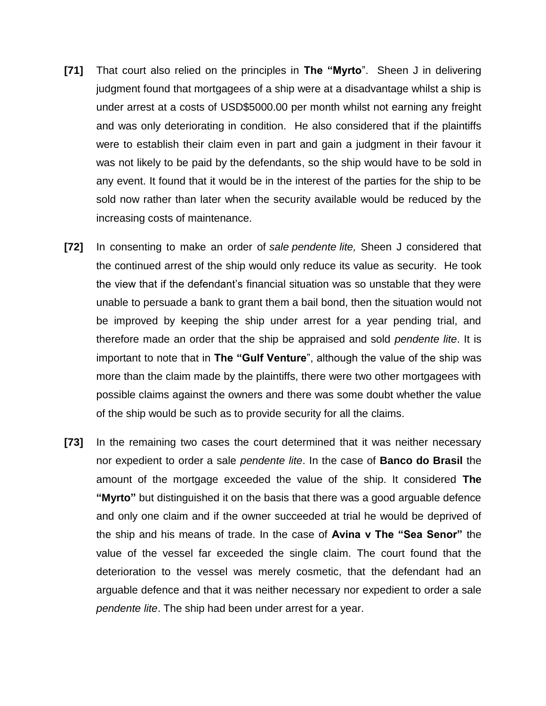- **[71]** That court also relied on the principles in **The "Myrto**". Sheen J in delivering judgment found that mortgagees of a ship were at a disadvantage whilst a ship is under arrest at a costs of USD\$5000.00 per month whilst not earning any freight and was only deteriorating in condition. He also considered that if the plaintiffs were to establish their claim even in part and gain a judgment in their favour it was not likely to be paid by the defendants, so the ship would have to be sold in any event. It found that it would be in the interest of the parties for the ship to be sold now rather than later when the security available would be reduced by the increasing costs of maintenance.
- **[72]** In consenting to make an order of *sale pendente lite,* Sheen J considered that the continued arrest of the ship would only reduce its value as security. He took the view that if the defendant's financial situation was so unstable that they were unable to persuade a bank to grant them a bail bond, then the situation would not be improved by keeping the ship under arrest for a year pending trial, and therefore made an order that the ship be appraised and sold *pendente lite*. It is important to note that in **The "Gulf Venture**", although the value of the ship was more than the claim made by the plaintiffs, there were two other mortgagees with possible claims against the owners and there was some doubt whether the value of the ship would be such as to provide security for all the claims.
- **[73]** In the remaining two cases the court determined that it was neither necessary nor expedient to order a sale *pendente lite*. In the case of **Banco do Brasil** the amount of the mortgage exceeded the value of the ship. It considered **The "Myrto"** but distinguished it on the basis that there was a good arguable defence and only one claim and if the owner succeeded at trial he would be deprived of the ship and his means of trade. In the case of **Avina v The "Sea Senor"** the value of the vessel far exceeded the single claim. The court found that the deterioration to the vessel was merely cosmetic, that the defendant had an arguable defence and that it was neither necessary nor expedient to order a sale *pendente lite*. The ship had been under arrest for a year.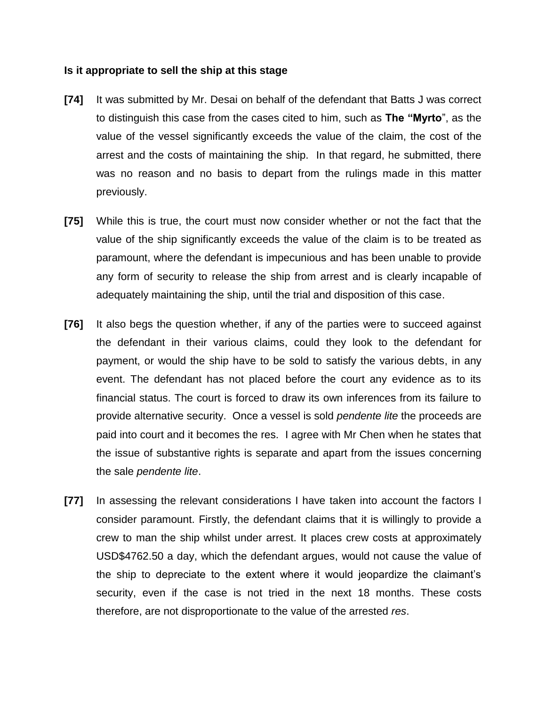#### **Is it appropriate to sell the ship at this stage**

- **[74]** It was submitted by Mr. Desai on behalf of the defendant that Batts J was correct to distinguish this case from the cases cited to him, such as **The "Myrto**", as the value of the vessel significantly exceeds the value of the claim, the cost of the arrest and the costs of maintaining the ship. In that regard, he submitted, there was no reason and no basis to depart from the rulings made in this matter previously.
- **[75]** While this is true, the court must now consider whether or not the fact that the value of the ship significantly exceeds the value of the claim is to be treated as paramount, where the defendant is impecunious and has been unable to provide any form of security to release the ship from arrest and is clearly incapable of adequately maintaining the ship, until the trial and disposition of this case.
- **[76]** It also begs the question whether, if any of the parties were to succeed against the defendant in their various claims, could they look to the defendant for payment, or would the ship have to be sold to satisfy the various debts, in any event. The defendant has not placed before the court any evidence as to its financial status. The court is forced to draw its own inferences from its failure to provide alternative security. Once a vessel is sold *pendente lite* the proceeds are paid into court and it becomes the res. I agree with Mr Chen when he states that the issue of substantive rights is separate and apart from the issues concerning the sale *pendente lite*.
- **[77]** In assessing the relevant considerations I have taken into account the factors I consider paramount. Firstly, the defendant claims that it is willingly to provide a crew to man the ship whilst under arrest. It places crew costs at approximately USD\$4762.50 a day, which the defendant argues, would not cause the value of the ship to depreciate to the extent where it would jeopardize the claimant's security, even if the case is not tried in the next 18 months. These costs therefore, are not disproportionate to the value of the arrested *res*.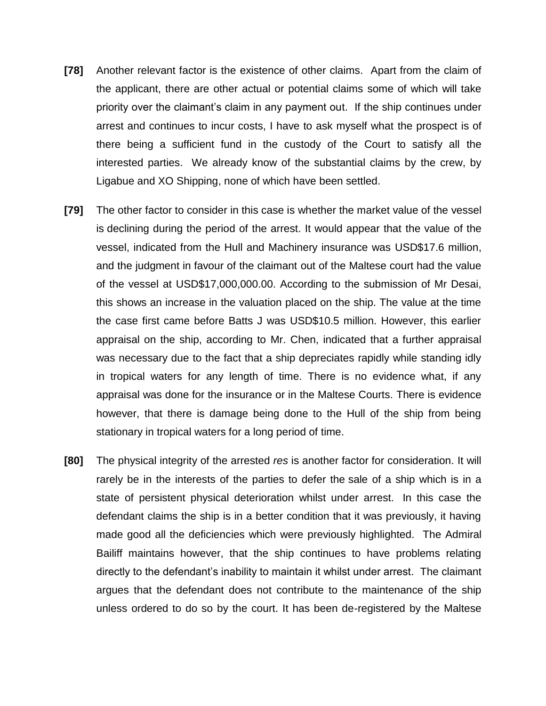- **[78]** Another relevant factor is the existence of other claims. Apart from the claim of the applicant, there are other actual or potential claims some of which will take priority over the claimant's claim in any payment out. If the ship continues under arrest and continues to incur costs, I have to ask myself what the prospect is of there being a sufficient fund in the custody of the Court to satisfy all the interested parties. We already know of the substantial claims by the crew, by Ligabue and XO Shipping, none of which have been settled.
- **[79]** The other factor to consider in this case is whether the market value of the vessel is declining during the period of the arrest. It would appear that the value of the vessel, indicated from the Hull and Machinery insurance was USD\$17.6 million, and the judgment in favour of the claimant out of the Maltese court had the value of the vessel at USD\$17,000,000.00. According to the submission of Mr Desai, this shows an increase in the valuation placed on the ship. The value at the time the case first came before Batts J was USD\$10.5 million. However, this earlier appraisal on the ship, according to Mr. Chen, indicated that a further appraisal was necessary due to the fact that a ship depreciates rapidly while standing idly in tropical waters for any length of time. There is no evidence what, if any appraisal was done for the insurance or in the Maltese Courts. There is evidence however, that there is damage being done to the Hull of the ship from being stationary in tropical waters for a long period of time.
- **[80]** The physical integrity of the arrested *res* is another factor for consideration. It will rarely be in the interests of the parties to defer the sale of a ship which is in a state of persistent physical deterioration whilst under arrest. In this case the defendant claims the ship is in a better condition that it was previously, it having made good all the deficiencies which were previously highlighted. The Admiral Bailiff maintains however, that the ship continues to have problems relating directly to the defendant's inability to maintain it whilst under arrest. The claimant argues that the defendant does not contribute to the maintenance of the ship unless ordered to do so by the court. It has been de-registered by the Maltese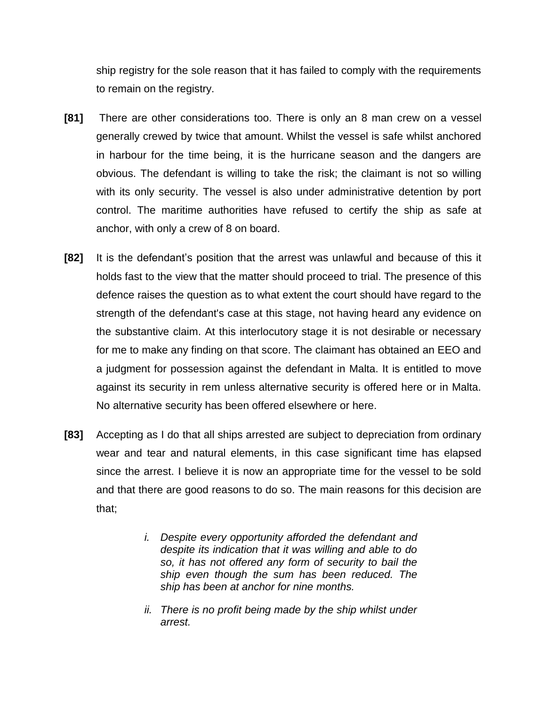ship registry for the sole reason that it has failed to comply with the requirements to remain on the registry.

- **[81]** There are other considerations too. There is only an 8 man crew on a vessel generally crewed by twice that amount. Whilst the vessel is safe whilst anchored in harbour for the time being, it is the hurricane season and the dangers are obvious. The defendant is willing to take the risk; the claimant is not so willing with its only security. The vessel is also under administrative detention by port control. The maritime authorities have refused to certify the ship as safe at anchor, with only a crew of 8 on board.
- **[82]** It is the defendant's position that the arrest was unlawful and because of this it holds fast to the view that the matter should proceed to trial. The presence of this defence raises the question as to what extent the court should have regard to the strength of the defendant's case at this stage, not having heard any evidence on the substantive claim. At this interlocutory stage it is not desirable or necessary for me to make any finding on that score. The claimant has obtained an EEO and a judgment for possession against the defendant in Malta. It is entitled to move against its security in rem unless alternative security is offered here or in Malta. No alternative security has been offered elsewhere or here.
- **[83]** Accepting as I do that all ships arrested are subject to depreciation from ordinary wear and tear and natural elements, in this case significant time has elapsed since the arrest. I believe it is now an appropriate time for the vessel to be sold and that there are good reasons to do so. The main reasons for this decision are that;
	- *i. Despite every opportunity afforded the defendant and despite its indication that it was willing and able to do so, it has not offered any form of security to bail the ship even though the sum has been reduced. The ship has been at anchor for nine months.*
	- *ii. There is no profit being made by the ship whilst under arrest.*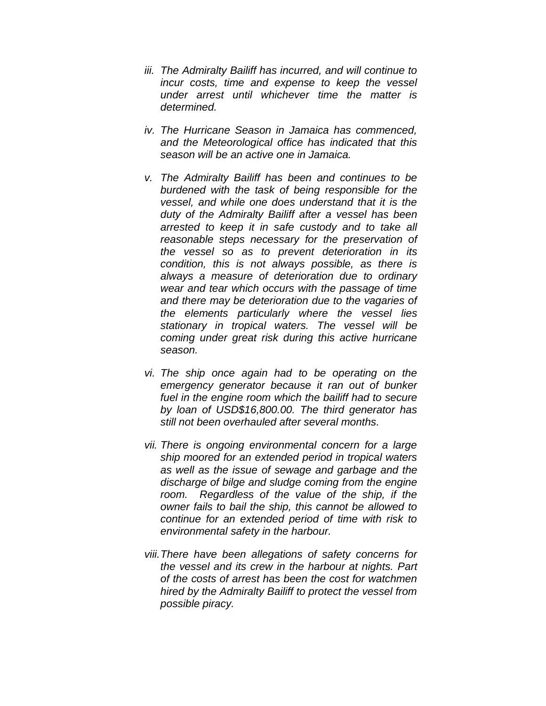- *iii. The Admiralty Bailiff has incurred, and will continue to incur costs, time and expense to keep the vessel under arrest until whichever time the matter is determined.*
- *iv. The Hurricane Season in Jamaica has commenced, and the Meteorological office has indicated that this season will be an active one in Jamaica.*
- *v. The Admiralty Bailiff has been and continues to be burdened with the task of being responsible for the vessel, and while one does understand that it is the duty of the Admiralty Bailiff after a vessel has been arrested to keep it in safe custody and to take all reasonable steps necessary for the preservation of the vessel so as to prevent deterioration in its condition, this is not always possible, as there is always a measure of deterioration due to ordinary wear and tear which occurs with the passage of time and there may be deterioration due to the vagaries of the elements particularly where the vessel lies stationary in tropical waters. The vessel will be coming under great risk during this active hurricane season.*
- *vi. The ship once again had to be operating on the emergency generator because it ran out of bunker fuel in the engine room which the bailiff had to secure by loan of USD\$16,800.00. The third generator has still not been overhauled after several months.*
- *vii. There is ongoing environmental concern for a large ship moored for an extended period in tropical waters as well as the issue of sewage and garbage and the discharge of bilge and sludge coming from the engine room. Regardless of the value of the ship, if the owner fails to bail the ship, this cannot be allowed to continue for an extended period of time with risk to environmental safety in the harbour.*
- *viii.There have been allegations of safety concerns for the vessel and its crew in the harbour at nights. Part of the costs of arrest has been the cost for watchmen hired by the Admiralty Bailiff to protect the vessel from possible piracy.*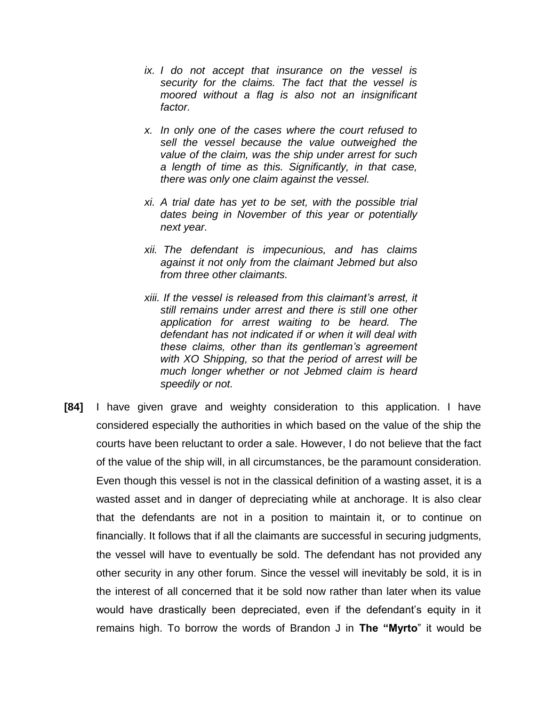- *ix. I do not accept that insurance on the vessel is security for the claims. The fact that the vessel is moored without a flag is also not an insignificant factor.*
- *x. In only one of the cases where the court refused to sell the vessel because the value outweighed the value of the claim, was the ship under arrest for such a length of time as this. Significantly, in that case, there was only one claim against the vessel.*
- *xi. A trial date has yet to be set, with the possible trial dates being in November of this year or potentially next year.*
- *xii. The defendant is impecunious, and has claims against it not only from the claimant Jebmed but also from three other claimants.*
- *xiii. If the vessel is released from this claimant's arrest, it still remains under arrest and there is still one other application for arrest waiting to be heard. The defendant has not indicated if or when it will deal with these claims, other than its gentleman's agreement with XO Shipping, so that the period of arrest will be much longer whether or not Jebmed claim is heard speedily or not.*
- **[84]** I have given grave and weighty consideration to this application. I have considered especially the authorities in which based on the value of the ship the courts have been reluctant to order a sale. However, I do not believe that the fact of the value of the ship will, in all circumstances, be the paramount consideration. Even though this vessel is not in the classical definition of a wasting asset, it is a wasted asset and in danger of depreciating while at anchorage. It is also clear that the defendants are not in a position to maintain it, or to continue on financially. It follows that if all the claimants are successful in securing judgments, the vessel will have to eventually be sold. The defendant has not provided any other security in any other forum. Since the vessel will inevitably be sold, it is in the interest of all concerned that it be sold now rather than later when its value would have drastically been depreciated, even if the defendant's equity in it remains high. To borrow the words of Brandon J in **The "Myrto**" it would be